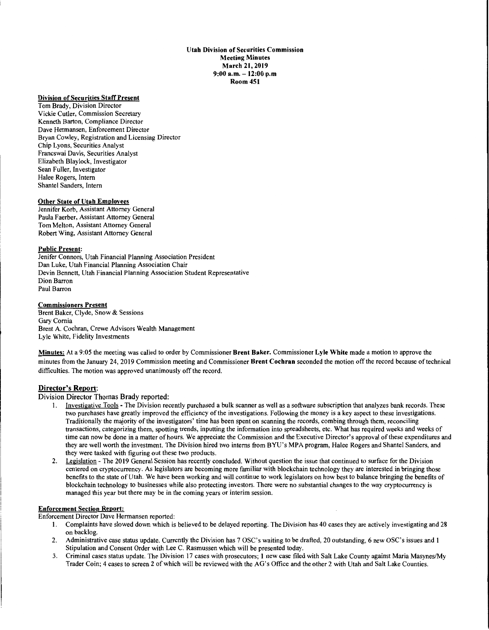#### **Utah Division of Securities Commission Meeting Minutes March 21, 2019 9:00 a.m.** - **12:00 p.m Room 451**

## **Division of Securities Staff Present**

Tom Brady, Division Director Vickie Cutler, Commission Secretary Kenneth Barton, Compliance Director Dave Hermansen, Enforcement Director Bryan Cowley, Registration and Licensing Director Chip Lyons, Securities Analyst Francswai Davis, Securities Analyst Elizabeth Blaylock, Investigator Sean Fuller, Investigator Halee Rogers, Intern Shantel Sanders, Intern

### **Other State of Utah Employees**

Jennifer Korb, Assistant Attorney General Paula Faerber, Assistant Attorney General Tom Melton, Assistant Attorney General Robert Wing, Assistant Attorney General

## **Public Present:**

Jenifer Connors, Utah Financial Planning Association President Dan Luke, Utah Financial Planning Association Chair Devin Bennett, Utah Financial Planning Association Student Representative Dion Barron Paul Barron

#### **Commissioners Present**

Brent Baker, Clyde, Snow & Sessions Gary Cornia Brent A. Cochran, Crewe Advisors Wealth Management Lyle White, Fidelity Investments

**Minutes:** At a 9:05 the meeting was called to order by Commissioner **Brent Baker.** Commissioner **Lyle White** made a motion to approve the minutes from the January 24, 2019 Commission meeting and Commissioner **Brent Cochran** seconded the motion off the record because of technical difficulties. The motion was approved unanimously off the record.

### **Director's Report:**

### Division Director Thomas Brady reported:

- 1. Investigative Tools The Division recently purchased a bulk scanner as well as a software subscription that analyzes bank records. These two purchases have greatly improved the efficiency of the investigations. Following the money is a key aspect to these investigations. Traditionally the majority of the investigators' time has been spent on scanning the records, combing through them, reconciling transactions, categorizing them, spotting trends, inputting the information into spreadsheets, etc. What has required weeks and weeks of time can now be done in a matter of hours. We appreciate the Commission and the Executive Director's approval of these expenditures and they are well worth the investment. The Division hired two interns from BYU's MPA program, Halee Rogers and Shantel Sanders, and they were tasked with figuring out these two products.
- 2. Legislation The 2019 General Session has recently concluded. Without question the issue that continued to surface for the Division centered on cryptocurrency. As legislators are becoming more familiar with blockchain technology they are interested in bringing those benefits to the state of Utah. We have been working and will continue to work legislators on how best to balance bringing the benefits of blockchain technology to businesses while also protecting investors. There were no substantial changes to the way cryptocurrency is managed this year but there may be in the coming years or interim session.

# **Enforcement Section Report:**

Enforcement Director Dave Hermansen reported:

- I. Complaints have slowed down which is believed to be delayed reporting. The Division has 40 cases they are actively investigating and 28 on backlog.
- 2. Administrative case status update. Currently the Division has 7 OSC's waiting to be drafted, 20 outstanding, 6 new OSC's issues and I Stipulation and Consent Order with Lee C. Rasmussen which will be presented today.
- 3. Criminal cases status update. The Division 17 cases with prosecutors; I new case filed with Salt Lake County against Maria Masynes/My Trader Coin; 4 cases to screen 2 of which will be reviewed with the AG's Office and the other 2 with Utah and Salt Lake Counties.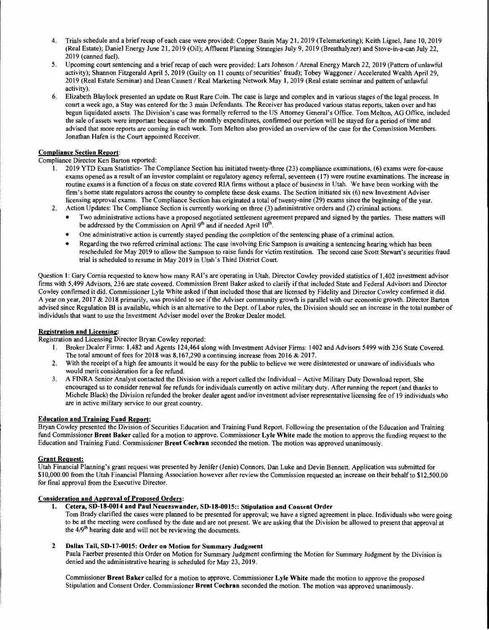- 4. Trials schedule and a brief recap of each case were provided: Copper Basin May 21, 2019 (Telemarketing); Keith Lignel, June 10, 2019 (Real Estate); Daniel Energy June 21, 2019 (Oil); Affluent Planning Strategies July 9, 2019 (Breathalyzer) and Stove-in-a-can July 22, 2019 (canned fuel).
- 5. Upcoming court sentencing and a brief recap of each were provided: Lars Johnson/ Arena) Energy March 22, 2019 (Pattern of unlawful activity); Shannon Fitzgerald April 5, 2019 (Guilty on 11 counts of securities' fraud); Tobey Waggoner/ Accelerated Wealth April 29, 2019 (Real Estate Seminar) and Dean Causett I Real Marketing Network May **1,** 2019 (Real estate seminar and pattern of unlawful activity).
- 6. Elizabeth Blaylock presented an update on Rust Rare Coin. The case is large and complex and in various stages of the legal process. In court a week ago, a Stay was entered for the 3 main Defendants. The Receiver has produced various status reports, taken over and has begun liquidated assets. The Division's case was formally referred to the US Attorney General's Office. Tom Melton, AG Office, included the sale of assets were important because of the monthly expenditures, confirmed our portion will be stayed for a period of time and advised that more reports are coming in each week. Tom Melton also provided an overview of the case for the Commission Members. Jonathan Hafen is the Court appointed Receiver.

## **Compliance Section Report:**

## Compliance Director Ken Barton reported:

- 1. 2019 YTD Exam Statistics- The Compliance Section has initiated twenty-three (23) compliance examinations, (6) exams were for-cause exams opened as a result of an investor complaint or regulatory agency referral, seventeen ( 17) were routine examinations. The increase in routine exams is a function of a focus on state covered RIA firms without a place of business in Utah. We have been working with the firm's home state regulators across the country to complete these desk exams. The Section initiated six (6) new Investment Adviser licensing approval exams. The Compliance Section has originated a total of twenty-nine (29) exams since the beginning of the year.
- 2. Action Updates: The Compliance Section is currently working on three (3) administrative orders and (2) criminal actions.
	- Two administrative actions have a proposed negotiated settlement agreement prepared and signed by the parties. These matters will be addressed by the Commission on April  $9<sup>th</sup>$  and if needed April  $10<sup>th</sup>$ .
	- One administrative action is currently stayed pending the completion of the sentencing phase of a criminal action.
	- Regarding the two referred criminal actions: The case involving Eric Sampson is awaiting a sentencing hearing which has been rescheduled for May 2019 to allow the Sampson to raise funds for victim restitution. The second case Scott Stewart's securities fraud trial is scheduled to resume in May 2019 in Utah's Third District Court.

Question 1: Gary Cornia requested to know how many RAI's are operating in Utah. Director Cowley provided statistics of 1,402 investment advisor firms with 5,499 Advisors, 236 are state covered. Commission Brent Baker asked to clarify if that included State and Federal Advisors and Director Cowley confirmed it did. Commissioner Lyle White asked if that included those that are licensed by Fidelity and Director Cowley confirmed it did. A year on year, 2017 & 2018 primarily, was provided to see if the Adviser community growth is parallel with our economic growth. Director Barton advised since Regulation BI is available, which is an alternative to the Dept. of Labor rules, the Division should see an increase in the total number of individuals that want to use the Investment Adviser model over the Broker Dealer model.

### **Registration and Licensing:**

Registration and Licensing Director Bryan Cowley reported:

- 1. Broker Dealer Firms: 1,482 and Agents 124,464 along with Investment Adviser Firms: 1402 and Advisors 5499 with 236 State Covered. The total amount of fees for 2018 was  $8,167,290$  a continuing increase from 2016 & 2017.
- 2. With the receipt of a high fee amounts it would be easy for the public to believe we were disinterested or unaware of individuals who would merit consideration for a fee refund.
- 3. A FINRA Senior Analyst contacted the Division with a report called the Individual Active Military Duty Download report. She encouraged us to consider renewal fee refunds for individuals currently on active military duty. After running the report (and thanks to Michele Black) the Division refunded the broker dealer agent and/or investment adviser representative licensing fee of **19** individuals who are in active military service to our great country.

# **Education and Training Fund Report:**

Bryan Cowley presented the Division of Securities Education and Training Fund Report. Following the presentation of the Education and Training fund Commissioner **Brent Baker** called for a motion to approve. Commissioner **Lyle White** made the motion to approve the funding request to the Education and Training Fund. Commissioner **Brent Cochran** seconded the motion. The motion was approved unanimously.

### **Grant Request:**

Utah Financial Planning's grant request was presented by Jenifer (Jenie) Connors, Dan Luke and Devin Bennett. Application was submitted for \$10,000.00 from the Utah Financial Planning Association however after review the Commission requested an increase on their behalf to \$12,500.00 for final approval from the Executive Director.

# **Consideration and Approval of Proposed Orders:**

- **1. Cetera, SD-18-0014 and Paul Neuenswander, SD-18-0015:: Stipulation and Consent Order**
- Tom Brady clarified the cases were planned to be presented for approval; we have a signed agreement in place. Individuals who were going to be at the meeting were confused by the date and are not present. We are asking that the Division be allowed to present that approval at the 419*th* hearing date and will not be reviewing the documents.

### **2 Dallas Tall, SD-17-0015: Order on Motion for Summary Judgment**

Paula Faerber presented this Order on Motion for Summary Judgment confirming the Motion for Summary Judgment by the Division is denied and the administrative hearing is scheduled for May 23, 2019.

Commissioner **Brent Baker** called for a motion to approve. Commissioner **Lyle White** made the motion to approve the proposed Stipulation and Consent Order. Commissioner **Brent Cochran** seconded the motion. The motion was approved unanimously.